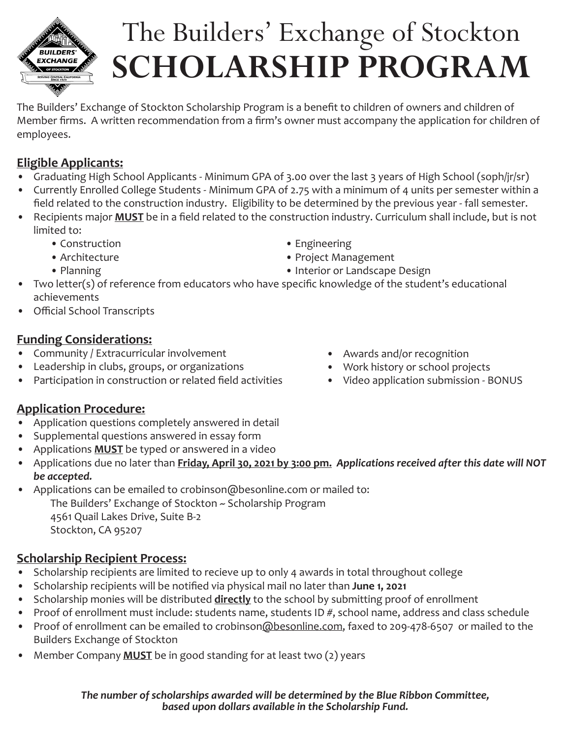

# The Builders' Exchange of Stockton **SCHOLARSHIP PROGRAM**

The Builders' Exchange of Stockton Scholarship Program is a benefit to children of owners and children of Member firms. A written recommendation from a firm's owner must accompany the application for children of employees.

#### **Eligible Applicants:**

- Graduating High School Applicants Minimum GPA of 3.00 over the last 3 years of High School (soph/jr/sr)
- Currently Enrolled College Students Minimum GPA of 2.75 with a minimum of 4 units per semester within a field related to the construction industry. Eligibility to be determined by the previous year - fall semester.
- Recipients major **MUST** be in a field related to the construction industry. Curriculum shall include, but is not limited to:
	- Construction **Engineering**
	-
	-
- 
- Architecture **Project Management**
- Planning Interior or Landscape Design
- Two letter(s) of reference from educators who have specific knowledge of the student's educational achievements
- Official School Transcripts

#### **Funding Considerations:**

- Community / Extracurricular involvement
- Leadership in clubs, groups, or organizations
- Participation in construction or related field activities
- Awards and/or recognition
- Work history or school projects
- Video application submission BONUS

#### **Application Procedure:**

- Application questions completely answered in detail
- Supplemental questions answered in essay form
- Applications **MUST** be typed or answered in a video
- Applications due no later than **Friday, April 30, 2021 by 3:00 pm.** *Applications received after this date will NOT be accepted.*
- Applications can be emailed to crobinson@besonline.com or mailed to: The Builders' Exchange of Stockton ~ Scholarship Program 4561 Quail Lakes Drive, Suite B-2 Stockton, CA 95207

### **Scholarship Recipient Process:**

- Scholarship recipients are limited to recieve up to only 4 awards in total throughout college
- Scholarship recipients will be notified via physical mail no later than **June 1, 2021**
- Scholarship monies will be distributed **directly** to the school by submitting proof of enrollment
- Proof of enrollment must include: students name, students ID #, school name, address and class schedule
- Proof of enrollment can be emailed to crobinson@besonline.com, faxed to 209-478-6507 or mailed to the Builders Exchange of Stockton
- Member Company **MUST** be in good standing for at least two (2) years

*The number of scholarships awarded will be determined by the Blue Ribbon Committee, based upon dollars available in the Scholarship Fund.*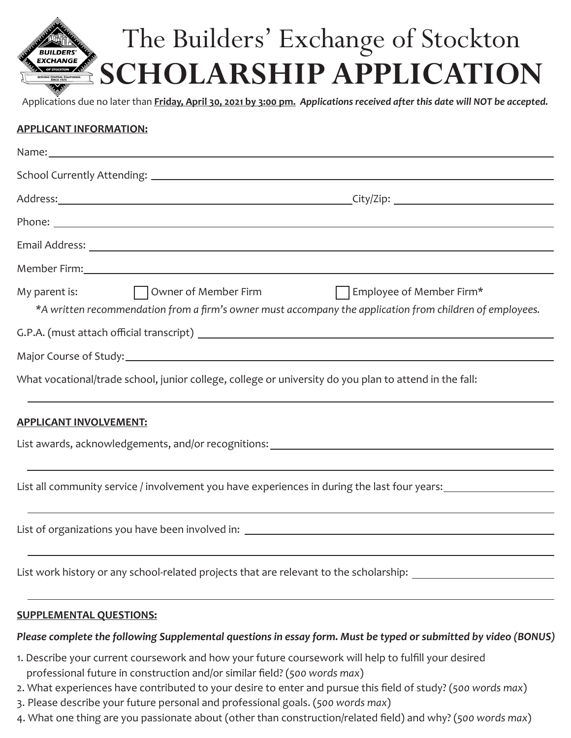# The Builders' Exchange of Stockton **EXCHANGE SCHOLARSHIP APPLICATION**

Applications due no later than **Friday, April 30, 2021 by 3:00 pm.** *Applications received after this date will NOT be accepted.*

#### **APPLICANT INFORMATION:**

| My parent is:<br>T Owner of Member Firm T Employee of Member Firm*<br>*A written recommendation from a firm's owner must accompany the application from children of employees. |  |  |
|--------------------------------------------------------------------------------------------------------------------------------------------------------------------------------|--|--|
|                                                                                                                                                                                |  |  |
|                                                                                                                                                                                |  |  |
| What vocational/trade school, junior college, college or university do you plan to attend in the fall:                                                                         |  |  |
| <b>APPLICANT INVOLVEMENT:</b>                                                                                                                                                  |  |  |
|                                                                                                                                                                                |  |  |
|                                                                                                                                                                                |  |  |
| List all community service / involvement you have experiences in during the last four years:                                                                                   |  |  |
|                                                                                                                                                                                |  |  |
| List work history or any school-related projects that are relevant to the scholarship: _______________________                                                                 |  |  |
| <b>SUPPLEMENTAL QUESTIONS:</b>                                                                                                                                                 |  |  |

#### *Please complete the following Supplemental questions in essay form. Must be typed or submitted by video (BONUS)*

- 1. Describe your current coursework and how your future coursework will help to fulfill your desired professional future in construction and/or similar field? (*500 words max*)
- 2. What experiences have contributed to your desire to enter and pursue this field of study? (*500 words max*)
- 3. Please describe your future personal and professional goals. (*500 words max*)
- 4. What one thing are you passionate about (other than construction/related field) and why? (*500 words max*)